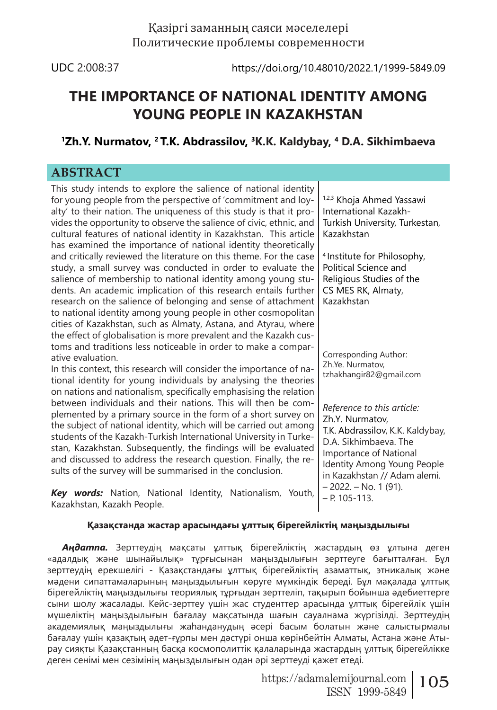# Қазіргі заманның саяси мәселелері Политические проблемы современности

UDC 2:008:37 https://doi.org/10.48010/2022.1/1999-5849.09

# **THE IMPORTANCE OF NATIONAL IDENTITY AMONG YOUNG PEOPLE IN KAZAKHSTAN**

# **1Zh.Y. Nurmatov, 2 T.K. Abdrassilov, 3K.K. Kaldybay, 4 D.A. Sikhimbaeva**

# **ABSTRACT**

This study intends to explore the salience of national identity for young people from the perspective of 'commitment and loyalty' to their nation. The uniqueness of this study is that it provides the opportunity to observe the salience of civic, ethnic, and cultural features of national identity in Kazakhstan. This article has examined the importance of national identity theoretically and critically reviewed the literature on this theme. For the case study, a small survey was conducted in order to evaluate the salience of membership to national identity among young students. An academic implication of this research entails further research on the salience of belonging and sense of attachment to national identity among young people in other cosmopolitan cities of Kazakhstan, such as Almaty, Astana, and Atyrau, where the effect of globalisation is more prevalent and the Kazakh customs and traditions less noticeable in order to make a comparative evaluation. In this context, this research will consider the importance of national identity for young individuals by analysing the theories on nations and nationalism, specifically emphasising the relation between individuals and their nations. This will then be complemented by a primary source in the form of a short survey on the subject of national identity, which will be carried out among students of the Kazakh-Turkish International University in Turkestan, Kazakhstan. Subsequently, the findings will be evaluated and discussed to address the research question. Finally, the results of the survey will be summarised in the conclusion. *Key words:* Nation, National Identity, Nationalism, Youth, Kazakhstan, Kazakh People. 1,2,3 Khoja Ahmed Yassawi International Kazakh-Turkish University, Turkestan, Kazakhstan 4 Institute for Philosophy, Political Science and Religious Studies of the CS MES RK, Almaty, Kazakhstan Corresponding Author: Zh.Ye. Nurmatov, tzhakhangir82@gmail.com *Reference to this article:* Zh.Y. Nurmatov, T.K. Abdrassilov, K.K. Kaldybay, D.A. Sikhimbaeva. The Importance of National Identity Among Young People in Kazakhstan // Adam alemi. – 2022. – No. 1 (91). – Р. 105-113.

## **Қазақстанда жастар арасындағы ұлттық бірегейліктің маңыздылығы**

*Аңдатпа.* Зерттеудің мақсаты ұлттық бірегейліктің жастардың өз ұлтына деген «адалдық және шынайылық» тұрғысынан маңыздылығын зерттеуге бағытталған. Бұл зерттеудің ерекшелігі - Қазақстандағы ұлттық бірегейліктің азаматтық, этникалық және мәдени сипаттамаларының маңыздылығын көруге мүмкіндік береді. Бұл мақалада ұлттық бірегейліктің маңыздылығы теориялық тұрғыдан зерттеліп, тақырып бойынша әдебиеттерге сыни шолу жасалады. Кейс-зерттеу үшін жас студенттер арасында ұлттық бірегейлік үшін мүшеліктің маңыздылығын бағалау мақсатында шағын сауалнама жүргізілді. Зерттеудің академиялық маңыздылығы жаһанданудың әсері басым болатын және салыстырмалы бағалау үшін қазақтың әдет-ғұрпы мен дәстүрі онша көрінбейтін Алматы, Астана және Атырау сияқты Қазақстанның басқа космополиттік қалаларында жастардың ұлттық бірегейлікке деген сенімі мен сезімінің маңыздылығын одан әрі зерттеуді қажет етеді.

> https://adamalemijournal.com | 105 ISSN 1999-5849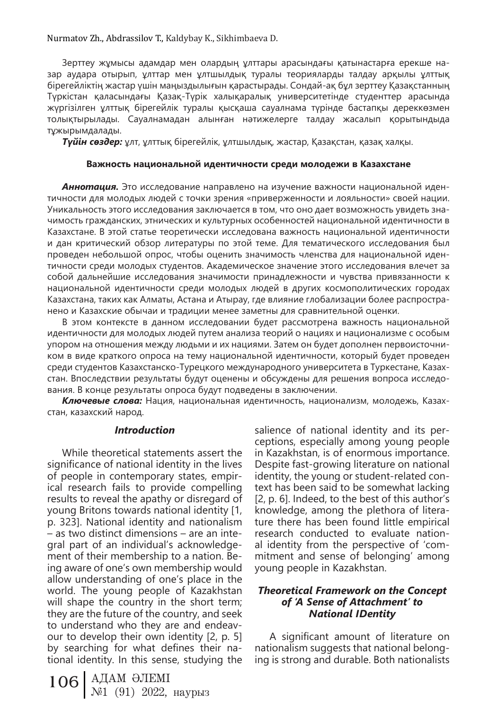Nurmatov Zh., Abdrassilov T., Kaldybay K., Sikhimbaeva D.

Зерттеу жұмысы адамдар мен олардың ұлттары арасындағы қатынастарға ерекше назар аудара отырып, ұлттар мен ұлтшылдық туралы теорияларды талдау арқылы ұлттық бірегейліктің жастар үшін маңыздылығын қарастырады. Сондай-ақ бұл зерттеу Қазақстанның Түркістан қаласындағы Қазақ-Түрік халықаралық университетінде студенттер арасында жүргізілген ұлттық бірегейлік туралы қысқаша сауалнама түрінде бастапқы дереккөзмен толықтырылады. Сауалнамадан алынған нәтижелерге талдау жасалып қорытындыда тұжырымдалады.

*Түйін сөздер:* ұлт, ұлттық бірегейлік, ұлтшылдық, жастар, Қазақстан, қазақ халқы.

#### **Важность национальной идентичности среди молодежи в Казахстане**

*Аннотация.* Это исследование направлено на изучение важности национальной идентичности для молодых людей с точки зрения «приверженности и лояльности» своей нации. Уникальность этого исследования заключается в том, что оно дает возможность увидеть значимость гражданских, этнических и культурных особенностей национальной идентичности в Казахстане. В этой статье теоретически исследована важность национальной идентичности и дан критический обзор литературы по этой теме. Для тематического исследования был проведен небольшой опрос, чтобы оценить значимость членства для национальной идентичности среди молодых студентов. Академическое значение этого исследования влечет за собой дальнейшие исследования значимости принадлежности и чувства привязанности к национальной идентичности среди молодых людей в других космополитических городах Казахстана, таких как Алматы, Астана и Атырау, где влияние глобализации более распространено и Казахские обычаи и традиции менее заметны для сравнительной оценки.

В этом контексте в данном исследовании будет рассмотрена важность национальной идентичности для молодых людей путем анализа теорий о нациях и национализме с особым упором на отношения между людьми и их нациями. Затем он будет дополнен первоисточником в виде краткого опроса на тему национальной идентичности, который будет проведен среди студентов Казахстанско-Турецкого международного университета в Туркестане, Казахстан. Впоследствии результаты будут оценены и обсуждены для решения вопроса исследования. В конце результаты опроса будут подведены в заключении.

*Ключевые слова:* Нация, национальная идентичность, национализм, молодежь, Казахстан, казахский народ.

## *Introduction*

While theoretical statements assert the significance of national identity in the lives of people in contemporary states, empirical research fails to provide compelling results to reveal the apathy or disregard of young Britons towards national identity [1, p. 323]. National identity and nationalism – as two distinct dimensions – are an integral part of an individual's acknowledgement of their membership to a nation. Being aware of one's own membership would allow understanding of one's place in the world. The young people of Kazakhstan will shape the country in the short term; they are the future of the country, and seek to understand who they are and endeavour to develop their own identity [2, p. 5] by searching for what defines their national identity. In this sense, studying the

106 АДАМ ӘЛЕМІ №1 (91) 2022, наурыз

salience of national identity and its perceptions, especially among young people in Kazakhstan, is of enormous importance. Despite fast-growing literature on national identity, the young or student-related context has been said to be somewhat lacking [2, p. 6]. Indeed, to the best of this author's knowledge, among the plethora of literature there has been found little empirical research conducted to evaluate national identity from the perspective of 'commitment and sense of belonging' among young people in Kazakhstan.

## *Theoretical Framework on the Concept of 'A Sense of Attachment' to National IDentity*

A significant amount of literature on nationalism suggests that national belonging is strong and durable. Both nationalists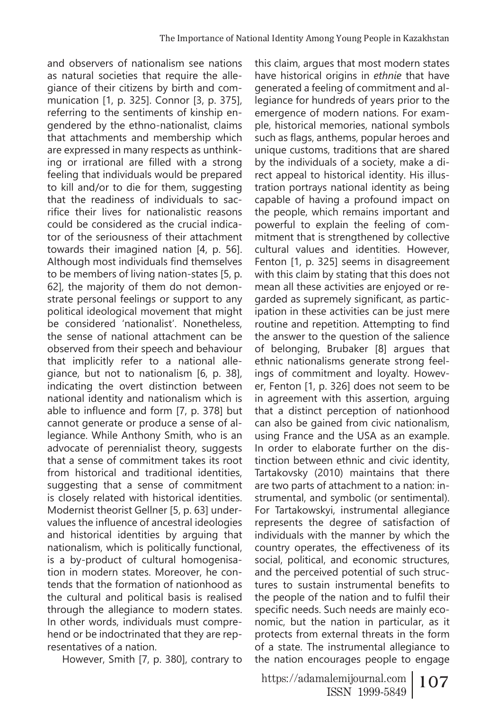and observers of nationalism see nations as natural societies that require the allegiance of their citizens by birth and communication [1, p. 325]. Connor [3, p. 375], referring to the sentiments of kinship engendered by the ethno-nationalist, claims that attachments and membership which are expressed in many respects as unthinking or irrational are filled with a strong feeling that individuals would be prepared to kill and/or to die for them, suggesting that the readiness of individuals to sacrifice their lives for nationalistic reasons could be considered as the crucial indicator of the seriousness of their attachment towards their imagined nation [4, p. 56]. Although most individuals find themselves to be members of living nation-states [5, p. 62], the majority of them do not demonstrate personal feelings or support to any political ideological movement that might be considered 'nationalist'. Nonetheless, the sense of national attachment can be observed from their speech and behaviour that implicitly refer to a national allegiance, but not to nationalism [6, p. 38], indicating the overt distinction between national identity and nationalism which is able to influence and form [7, p. 378] but cannot generate or produce a sense of allegiance. While Anthony Smith, who is an advocate of perennialist theory, suggests that a sense of commitment takes its root from historical and traditional identities, suggesting that a sense of commitment is closely related with historical identities. Modernist theorist Gellner [5, p. 63] undervalues the influence of ancestral ideologies and historical identities by arguing that nationalism, which is politically functional, is a by-product of cultural homogenisation in modern states. Moreover, he contends that the formation of nationhood as the cultural and political basis is realised through the allegiance to modern states. In other words, individuals must comprehend or be indoctrinated that they are representatives of a nation.

However, Smith [7, p. 380], contrary to

this claim, argues that most modern states have historical origins in *ethnie* that have generated a feeling of commitment and allegiance for hundreds of years prior to the emergence of modern nations. For example, historical memories, national symbols such as flags, anthems, popular heroes and unique customs, traditions that are shared by the individuals of a society, make a direct appeal to historical identity. His illustration portrays national identity as being capable of having a profound impact on the people, which remains important and powerful to explain the feeling of commitment that is strengthened by collective cultural values and identities. However, Fenton [1, p. 325] seems in disagreement with this claim by stating that this does not mean all these activities are enjoyed or regarded as supremely significant, as participation in these activities can be just mere routine and repetition. Attempting to find the answer to the question of the salience of belonging, Brubaker [8] argues that ethnic nationalisms generate strong feelings of commitment and loyalty. However, Fenton [1, p. 326] does not seem to be in agreement with this assertion, arguing that a distinct perception of nationhood can also be gained from civic nationalism, using France and the USA as an example. In order to elaborate further on the distinction between ethnic and civic identity, Tartakovsky (2010) maintains that there are two parts of attachment to a nation: instrumental, and symbolic (or sentimental). For Tartakowskyi, instrumental allegiance represents the degree of satisfaction of individuals with the manner by which the country operates, the effectiveness of its social, political, and economic structures, and the perceived potential of such structures to sustain instrumental benefits to the people of the nation and to fulfil their specific needs. Such needs are mainly economic, but the nation in particular, as it protects from external threats in the form of a state. The instrumental allegiance to the nation encourages people to engage

https://adamalemijournal.com | 107 ISSN 1999-5849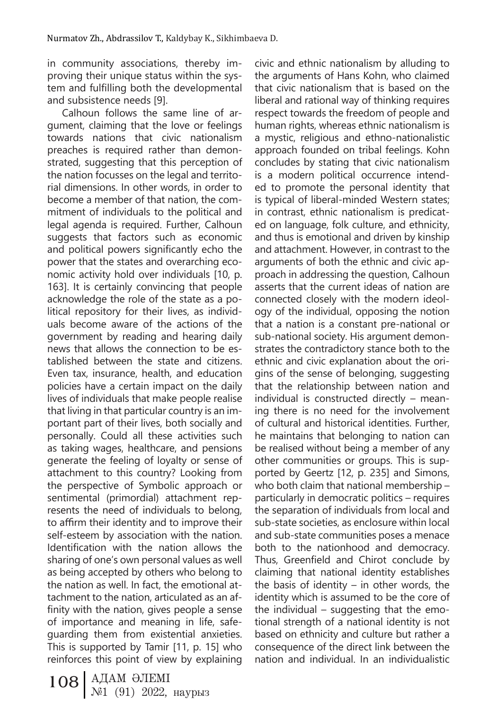in community associations, thereby improving their unique status within the system and fulfilling both the developmental and subsistence needs [9].

Calhoun follows the same line of argument, claiming that the love or feelings towards nations that civic nationalism preaches is required rather than demonstrated, suggesting that this perception of the nation focusses on the legal and territorial dimensions. In other words, in order to become a member of that nation, the commitment of individuals to the political and legal agenda is required. Further, Calhoun suggests that factors such as economic and political powers significantly echo the power that the states and overarching economic activity hold over individuals [10, p. 163]. It is certainly convincing that people acknowledge the role of the state as a political repository for their lives, as individuals become aware of the actions of the government by reading and hearing daily news that allows the connection to be established between the state and citizens. Even tax, insurance, health, and education policies have a certain impact on the daily lives of individuals that make people realise that living in that particular country is an important part of their lives, both socially and personally. Could all these activities such as taking wages, healthcare, and pensions generate the feeling of loyalty or sense of attachment to this country? Looking from the perspective of Symbolic approach or sentimental (primordial) attachment represents the need of individuals to belong, to affirm their identity and to improve their self-esteem by association with the nation. Identification with the nation allows the sharing of one's own personal values as well as being accepted by others who belong to the nation as well. In fact, the emotional attachment to the nation, articulated as an affinity with the nation, gives people a sense of importance and meaning in life, safeguarding them from existential anxieties. This is supported by Tamir [11, p. 15] who reinforces this point of view by explaining

108 АДАМ ӘЛЕМІ №1 (91) 2022, наурыз

civic and ethnic nationalism by alluding to the arguments of Hans Kohn, who claimed that civic nationalism that is based on the liberal and rational way of thinking requires respect towards the freedom of people and human rights, whereas ethnic nationalism is a mystic, religious and ethno-nationalistic approach founded on tribal feelings. Kohn concludes by stating that civic nationalism is a modern political occurrence intended to promote the personal identity that is typical of liberal-minded Western states; in contrast, ethnic nationalism is predicated on language, folk culture, and ethnicity, and thus is emotional and driven by kinship and attachment. However, in contrast to the arguments of both the ethnic and civic approach in addressing the question, Calhoun asserts that the current ideas of nation are connected closely with the modern ideology of the individual, opposing the notion that a nation is a constant pre-national or sub-national society. His argument demonstrates the contradictory stance both to the ethnic and civic explanation about the origins of the sense of belonging, suggesting that the relationship between nation and individual is constructed directly – meaning there is no need for the involvement of cultural and historical identities. Further, he maintains that belonging to nation can be realised without being a member of any other communities or groups. This is supported by Geertz [12, p. 235] and Simons, who both claim that national membership – particularly in democratic politics – requires the separation of individuals from local and sub-state societies, as enclosure within local and sub-state communities poses a menace both to the nationhood and democracy. Thus, Greenfield and Chirot conclude by claiming that national identity establishes the basis of identity – in other words, the identity which is assumed to be the core of the individual – suggesting that the emotional strength of a national identity is not based on ethnicity and culture but rather a consequence of the direct link between the nation and individual. In an individualistic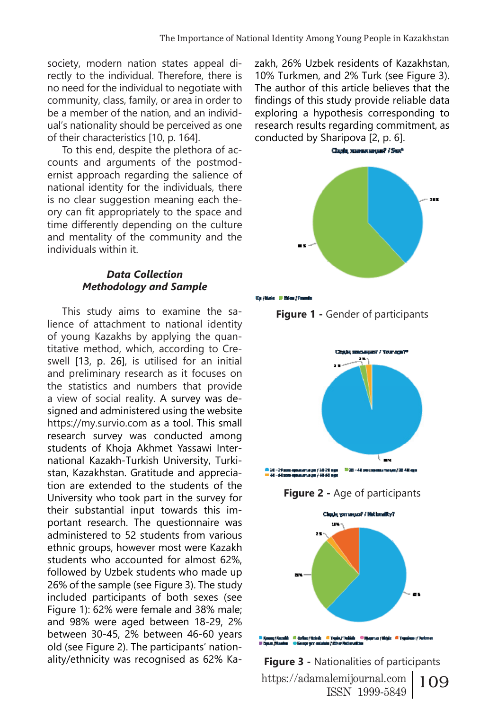society, modern nation states appeal directly to the individual. Therefore, there is no need for the individual to negotiate with community, class, family, or area in order to be a member of the nation, and an individual's nationality should be perceived as one of their characteristics [10, p. 164].

To this end, despite the plethora of accounts and arguments of the postmodernist approach regarding the salience of national identity for the individuals, there is no clear suggestion meaning each theory can fit appropriately to the space and time differently depending on the culture and mentality of the community and the individuals within it.

## *Data Collection Methodology and Sample*

This study aims to examine the salience of attachment to national identity of young Kazakhs by applying the quantitative method, which, according to Creswell [13, p. 26], is utilised for an initial and preliminary research as it focuses on the statistics and numbers that provide a view of social reality. A survey was designed and administered using the website https://my.survio.com as a tool. This small research survey was conducted among students of Khoja Akhmet Yassawi International Kazakh-Turkish University, Turkistan, Kazakhstan. Gratitude and appreciation are extended to the students of the University who took part in the survey for their substantial input towards this important research. The questionnaire was administered to 52 students from various ethnic groups, however most were Kazakh students who accounted for almost 62%, followed by Uzbek students who made up 26% of the sample (see Figure 3). The study included participants of both sexes (see Figure 1): 62% were female and 38% male; and 98% were aged between 18-29, 2% between 30-45, 2% between 46-60 years old (see Figure 2). The participants' nationality/ethnicity was recognised as 62% Kazakh, 26% Uzbek residents of Kazakhstan, 10% Turkmen, and 2% Turk (see Figure 3). The author of this article believes that the findings of this study provide reliable data exploring a hypothesis corresponding to research results regarding commitment, as conducted by Sharipova [2, p. 6].













https://adamalemijournal.com | 109 ISSN 1999-5849 **Figure 3 -** Nationalities of participants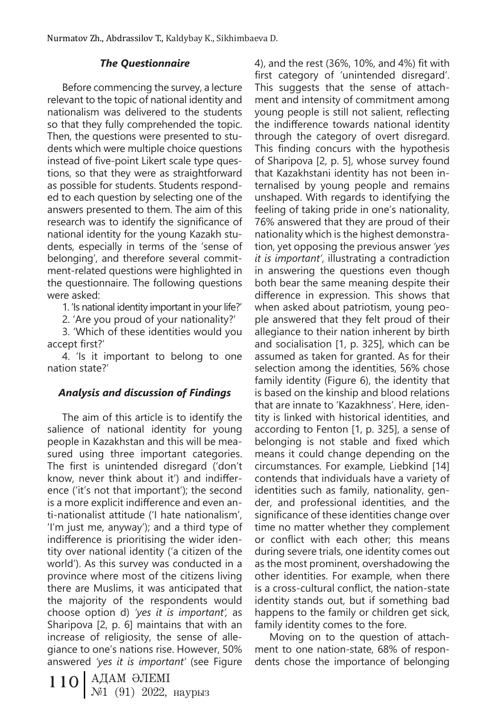# *The Questionnaire*

Before commencing the survey, a lecture relevant to the topic of national identity and nationalism was delivered to the students so that they fully comprehended the topic. Then, the questions were presented to students which were multiple choice questions instead of five-point Likert scale type questions, so that they were as straightforward as possible for students. Students responded to each question by selecting one of the answers presented to them. The aim of this research was to identify the significance of national identity for the young Kazakh students, especially in terms of the 'sense of belonging', and therefore several commitment-related questions were highlighted in the questionnaire. The following questions were asked:

1. 'Is national identity important in your life?'

2. 'Are you proud of your nationality?'

3. 'Which of these identities would you accept first?'

4. 'Is it important to belong to one nation state?'

# *Analysis and discussion of Findings*

The aim of this article is to identify the salience of national identity for young people in Kazakhstan and this will be measured using three important categories. The first is unintended disregard ('don't know, never think about it') and indifference ('it's not that important'); the second is a more explicit indifference and even anti-nationalist attitude ('I hate nationalism', 'I'm just me, anyway'); and a third type of indifference is prioritising the wider identity over national identity ('a citizen of the world'). As this survey was conducted in a province where most of the citizens living there are Muslims, it was anticipated that the majority of the respondents would choose option d) *'yes it is important',* as Sharipova [2, p. 6] maintains that with an increase of religiosity, the sense of allegiance to one's nations rise. However, 50% answered *'yes it is important'* (see Figure

110 | АДАМ ӘЛЕМІ<br>
№1 (91) 2022, наурыз

4), and the rest (36%, 10%, and 4%) fit with first category of 'unintended disregard'. This suggests that the sense of attachment and intensity of commitment among young people is still not salient, reflecting the indifference towards national identity through the category of overt disregard. This finding concurs with the hypothesis of Sharipova [2, p. 5], whose survey found that Kazakhstani identity has not been internalised by young people and remains unshaped. With regards to identifying the feeling of taking pride in one's nationality, 76% answered that they are proud of their nationality which is the highest demonstration, yet opposing the previous answer *'yes it is important'*, illustrating a contradiction in answering the questions even though both bear the same meaning despite their difference in expression. This shows that when asked about patriotism, young people answered that they felt proud of their allegiance to their nation inherent by birth and socialisation [1, p. 325], which can be assumed as taken for granted. As for their selection among the identities, 56% chose family identity (Figure 6), the identity that is based on the kinship and blood relations that are innate to 'Kazakhness'. Here, identity is linked with historical identities, and according to Fenton [1, p. 325], a sense of belonging is not stable and fixed which means it could change depending on the circumstances. For example, Liebkind [14] contends that individuals have a variety of identities such as family, nationality, gender, and professional identities, and the significance of these identities change over time no matter whether they complement or conflict with each other; this means during severe trials, one identity comes out as the most prominent, overshadowing the other identities. For example, when there is a cross-cultural conflict, the nation-state identity stands out, but if something bad happens to the family or children get sick, family identity comes to the fore.

Moving on to the question of attachment to one nation-state, 68% of respondents chose the importance of belonging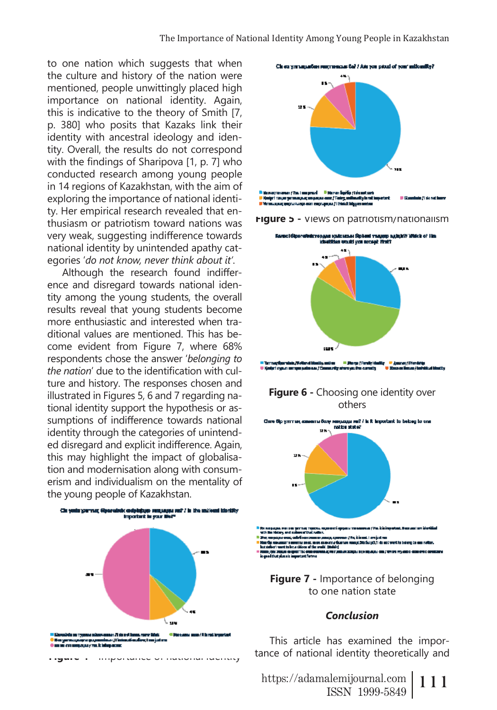to one nation which suggests that when the culture and history of the nation were mentioned, people unwittingly placed high importance on national identity. Again, this is indicative to the theory of Smith [7, p. 380] who posits that Kazaks link their identity with ancestral ideology and identity. Overall, the results do not correspond with the findings of Sharipova [1, p. 7] who conducted research among young people in 14 regions of Kazakhstan, with the aim of exploring the importance of national identity. Her empirical research revealed that enthusiasm or patriotism toward nations was very weak, suggesting indifference towards national identity by unintended apathy categories '*do not know, never think about it'*.

Although the research found indifference and disregard towards national identity among the young students, the overall results reveal that young students become more enthusiastic and interested when traditional values are mentioned. This has become evident from Figure 7, where 68% respondents chose the answer '*belonging to the nation*' due to the identification with culture and history. The responses chosen and illustrated in Figures 5, 6 and 7 regarding national identity support the hypothesis or assumptions of indifference towards national identity through the categories of unintended disregard and explicit indifference. Again, this may highlight the impact of globalisation and modernisation along with consumerism and individualism on the mentality of the young people of Kazakhstan.



**Figure 4 -** Importance of national identity







<mark>. Danya (Farally) da</mark><br>Abungsa iku camath Kedari meur memen salasaar Menga elle

## **Figure 6 - Choosing one identity over** others



# to one nation state

## *Conclusion*

This article has examined the importance of national identity theoretically and

https://adamalemijournal.com | 111 ISSN 1999-5849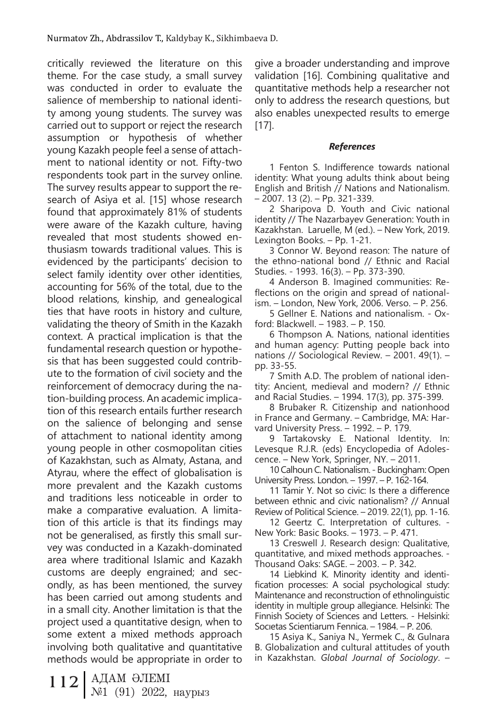critically reviewed the literature on this theme. For the case study, a small survey was conducted in order to evaluate the salience of membership to national identity among young students. The survey was carried out to support or reject the research assumption or hypothesis of whether young Kazakh people feel a sense of attachment to national identity or not. Fifty-two respondents took part in the survey online. The survey results appear to support the research of Asiya et al. [15] whose research found that approximately 81% of students were aware of the Kazakh culture, having revealed that most students showed enthusiasm towards traditional values. This is evidenced by the participants' decision to select family identity over other identities, accounting for 56% of the total, due to the blood relations, kinship, and genealogical ties that have roots in history and culture, validating the theory of Smith in the Kazakh context. A practical implication is that the fundamental research question or hypothesis that has been suggested could contribute to the formation of civil society and the reinforcement of democracy during the nation-building process. An academic implication of this research entails further research on the salience of belonging and sense of attachment to national identity among young people in other cosmopolitan cities of Kazakhstan, such as Almaty, Astana, and Atyrau, where the effect of globalisation is more prevalent and the Kazakh customs and traditions less noticeable in order to make a comparative evaluation. A limitation of this article is that its findings may not be generalised, as firstly this small survey was conducted in a Kazakh-dominated area where traditional Islamic and Kazakh customs are deeply engrained; and secondly, as has been mentioned, the survey has been carried out among students and in a small city. Another limitation is that the project used a quantitative design, when to some extent a mixed methods approach involving both qualitative and quantitative methods would be appropriate in order to

give a broader understanding and improve validation [16]. Combining qualitative and quantitative methods help a researcher not only to address the research questions, but also enables unexpected results to emerge [17].

## *References*

1 Fenton S. Indifference towards national identity: What young adults think about being English and British // Nations and Nationalism. – 2007. 13 (2). – Pp. 321-339.

2 Sharipova D. Youth and Civic national identity // The Nazarbayev Generation: Youth in Kazakhstan. Laruelle, M (ed.). – New York, 2019. Lexington Books. – Pp. 1-21.

3 Connor W. Beyond reason: The nature of the ethno-national bond // Ethnic and Racial Studies. - 1993. 16(3). – Pp. 373-390.

4 Anderson B. Imagined communities: Reflections on the origin and spread of nationalism. – London, New York, 2006. Verso. – P. 256.

5 Gellner E. Nations and nationalism. - Oxford: Blackwell. – 1983. – P. 150.

6 Thompson A. Nations, national identities and human agency: Putting people back into nations // Sociological Review. – 2001. 49(1). – pp. 33-55.

7 Smith A.D. The problem of national identity: Ancient, medieval and modern? // Ethnic and Racial Studies. – 1994. 17(3), pp. 375-399.

8 Brubaker R. Citizenship and nationhood in France and Germany. – Cambridge, MA: Harvard University Press. – 1992. – P. 179.

9 Tartakovsky E. National Identity. In: Levesque R.J.R. (eds) Encyclopedia of Adolescence. – New York, Springer, NY. – 2011.

10 Calhoun C. Nationalism. - Buckingham: Open University Press. London. – 1997. – P. 162-164.

11 Tamir Y. Not so civic: Is there a difference between ethnic and civic nationalism? // Annual Review of Political Science. – 2019. 22(1), pp. 1-16.

12 Geertz C. Interpretation of cultures. - New York: Basic Books. – 1973. – P. 471.

13 Creswell J. Research design: Qualitative, quantitative, and mixed methods approaches. - Thousand Oaks: SAGE. – 2003. – P. 342.

14 Liebkind K. Minority identity and identification processes: A social psychological study: Maintenance and reconstruction of ethnolinguistic identity in multiple group allegiance. Helsinki: The Finnish Society of Sciences and Letters. - Helsinki: Socıetas Scientiarum Fennica. – 1984. – P. 206.

15 Asiya K., Saniya N., Yermek C., & Gulnara B. Globalization and cultural attitudes of youth in Kazakhstan. *Global Journal of Sociology*. –

112 | АДАМ ӘЛЕМІ<br>
№1 (91) 2022, наурыз